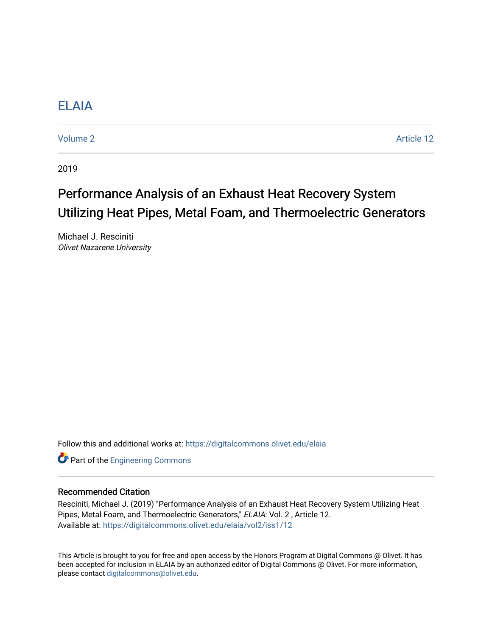# [ELAIA](https://digitalcommons.olivet.edu/elaia)

[Volume 2](https://digitalcommons.olivet.edu/elaia/vol2) Article 12

2019

# Performance Analysis of an Exhaust Heat Recovery System Utilizing Heat Pipes, Metal Foam, and Thermoelectric Generators

Michael J. Resciniti Olivet Nazarene University

Follow this and additional works at: [https://digitalcommons.olivet.edu/elaia](https://digitalcommons.olivet.edu/elaia?utm_source=digitalcommons.olivet.edu%2Felaia%2Fvol2%2Fiss1%2F12&utm_medium=PDF&utm_campaign=PDFCoverPages)

**Part of the [Engineering Commons](http://network.bepress.com/hgg/discipline/217?utm_source=digitalcommons.olivet.edu%2Felaia%2Fvol2%2Fiss1%2F12&utm_medium=PDF&utm_campaign=PDFCoverPages)** 

### Recommended Citation

Resciniti, Michael J. (2019) "Performance Analysis of an Exhaust Heat Recovery System Utilizing Heat Pipes, Metal Foam, and Thermoelectric Generators," ELAIA: Vol. 2 , Article 12. Available at: [https://digitalcommons.olivet.edu/elaia/vol2/iss1/12](https://digitalcommons.olivet.edu/elaia/vol2/iss1/12?utm_source=digitalcommons.olivet.edu%2Felaia%2Fvol2%2Fiss1%2F12&utm_medium=PDF&utm_campaign=PDFCoverPages) 

This Article is brought to you for free and open access by the Honors Program at Digital Commons @ Olivet. It has been accepted for inclusion in ELAIA by an authorized editor of Digital Commons @ Olivet. For more information, please contact [digitalcommons@olivet.edu.](mailto:digitalcommons@olivet.edu)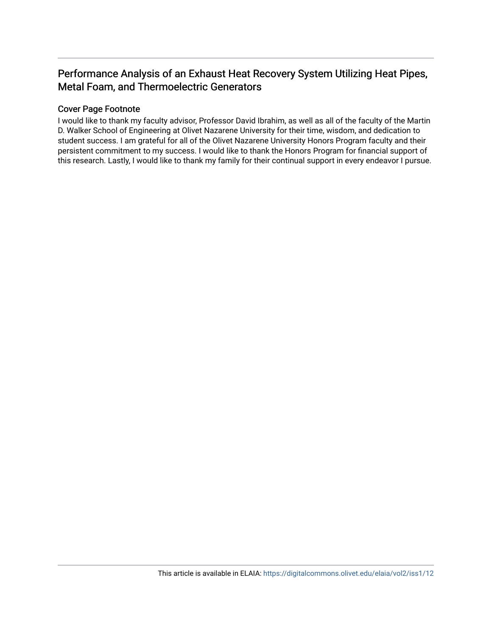# Performance Analysis of an Exhaust Heat Recovery System Utilizing Heat Pipes, Metal Foam, and Thermoelectric Generators

# Cover Page Footnote

I would like to thank my faculty advisor, Professor David Ibrahim, as well as all of the faculty of the Martin D. Walker School of Engineering at Olivet Nazarene University for their time, wisdom, and dedication to student success. I am grateful for all of the Olivet Nazarene University Honors Program faculty and their persistent commitment to my success. I would like to thank the Honors Program for financial support of this research. Lastly, I would like to thank my family for their continual support in every endeavor I pursue.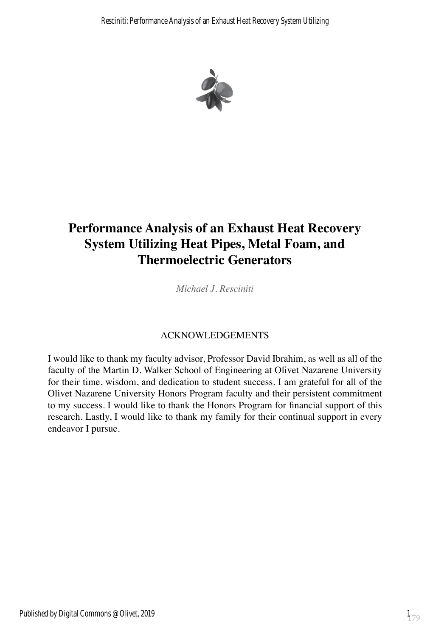

# **Performance Analysis of an Exhaust Heat Recovery System Utilizing Heat Pipes, Metal Foam, and Thermoelectric Generators**

*Michael J. Resciniti*

# ACKNOWLEDGEMENTS

I would like to thank my faculty advisor, Professor David Ibrahim, as well as all of the faculty of the Martin D. Walker School of Engineering at Olivet Nazarene University for their time, wisdom, and dedication to student success. I am grateful for all of the Olivet Nazarene University Honors Program faculty and their persistent commitment to my success. I would like to thank the Honors Program for financial support of this research. Lastly, I would like to thank my family for their continual support in every endeavor I pursue.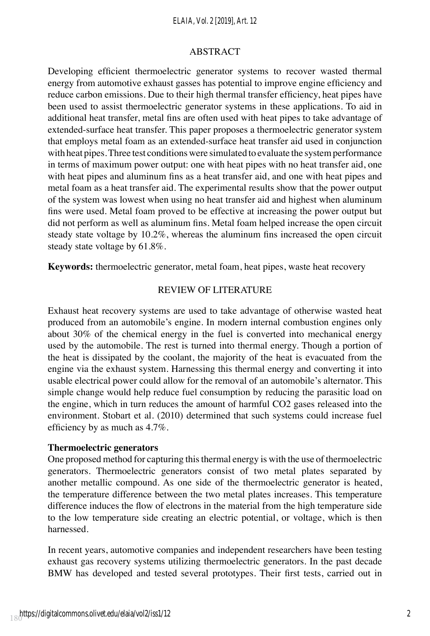#### *ELAIA, Vol. 2 [2019], Art. 12*

#### ABSTRACT

Developing efficient thermoelectric generator systems to recover wasted thermal energy from automotive exhaust gasses has potential to improve engine efficiency and reduce carbon emissions. Due to their high thermal transfer efficiency, heat pipes have been used to assist thermoelectric generator systems in these applications. To aid in additional heat transfer, metal fins are often used with heat pipes to take advantage of extended-surface heat transfer. This paper proposes a thermoelectric generator system that employs metal foam as an extended-surface heat transfer aid used in conjunction with heat pipes. Three test conditions were simulated to evaluate the system performance in terms of maximum power output: one with heat pipes with no heat transfer aid, one with heat pipes and aluminum fins as a heat transfer aid, and one with heat pipes and metal foam as a heat transfer aid. The experimental results show that the power output of the system was lowest when using no heat transfer aid and highest when aluminum fins were used. Metal foam proved to be effective at increasing the power output but did not perform as well as aluminum fins. Metal foam helped increase the open circuit steady state voltage by  $10.2\%$ , whereas the aluminum fins increased the open circuit steady state voltage by 61.8%.

**Keywords:** thermoelectric generator, metal foam, heat pipes, waste heat recovery

#### REVIEW OF LITERATURE

Exhaust heat recovery systems are used to take advantage of otherwise wasted heat produced from an automobile's engine. In modern internal combustion engines only about 30% of the chemical energy in the fuel is converted into mechanical energy used by the automobile. The rest is turned into thermal energy. Though a portion of the heat is dissipated by the coolant, the majority of the heat is evacuated from the engine via the exhaust system. Harnessing this thermal energy and converting it into usable electrical power could allow for the removal of an automobile's alternator. This simple change would help reduce fuel consumption by reducing the parasitic load on the engine, which in turn reduces the amount of harmful CO2 gases released into the environment. Stobart et al. (2010) determined that such systems could increase fuel efficiency by as much as 4.7%.

#### **Thermoelectric generators**

One proposed method for capturing this thermal energy is with the use of thermoelectric generators. Thermoelectric generators consist of two metal plates separated by another metallic compound. As one side of the thermoelectric generator is heated, the temperature difference between the two metal plates increases. This temperature difference induces the flow of electrons in the material from the high temperature side to the low temperature side creating an electric potential, or voltage, which is then harnessed.

In recent years, automotive companies and independent researchers have been testing exhaust gas recovery systems utilizing thermoelectric generators. In the past decade BMW has developed and tested several prototypes. Their first tests, carried out in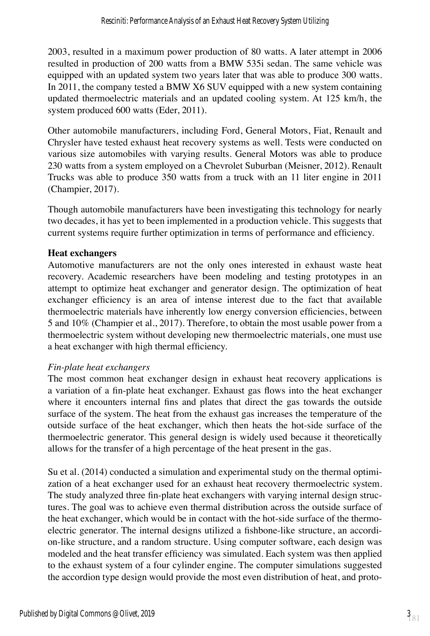2003, resulted in a maximum power production of 80 watts. A later attempt in 2006 resulted in production of 200 watts from a BMW 535i sedan. The same vehicle was equipped with an updated system two years later that was able to produce 300 watts. In 2011, the company tested a BMW X6 SUV equipped with a new system containing updated thermoelectric materials and an updated cooling system. At 125 km/h, the system produced 600 watts (Eder, 2011).

Other automobile manufacturers, including Ford, General Motors, Fiat, Renault and Chrysler have tested exhaust heat recovery systems as well. Tests were conducted on various size automobiles with varying results. General Motors was able to produce 230 watts from a system employed on a Chevrolet Suburban (Meisner, 2012). Renault Trucks was able to produce 350 watts from a truck with an 11 liter engine in 2011 (Champier, 2017).

Though automobile manufacturers have been investigating this technology for nearly two decades, it has yet to been implemented in a production vehicle. This suggests that current systems require further optimization in terms of performance and efficiency.

### **Heat exchangers**

Automotive manufacturers are not the only ones interested in exhaust waste heat recovery. Academic researchers have been modeling and testing prototypes in an attempt to optimize heat exchanger and generator design. The optimization of heat exchanger efficiency is an area of intense interest due to the fact that available thermoelectric materials have inherently low energy conversion efficiencies, between 5 and 10% (Champier et al., 2017). Therefore, to obtain the most usable power from a thermoelectric system without developing new thermoelectric materials, one must use a heat exchanger with high thermal efficiency.

### *Fin-plate heat exchangers*

The most common heat exchanger design in exhaust heat recovery applications is a variation of a fin-plate heat exchanger. Exhaust gas flows into the heat exchanger where it encounters internal fins and plates that direct the gas towards the outside surface of the system. The heat from the exhaust gas increases the temperature of the outside surface of the heat exchanger, which then heats the hot-side surface of the thermoelectric generator. This general design is widely used because it theoretically allows for the transfer of a high percentage of the heat present in the gas.

Su et al. (2014) conducted a simulation and experimental study on the thermal optimization of a heat exchanger used for an exhaust heat recovery thermoelectric system. The study analyzed three fin-plate heat exchangers with varying internal design structures. The goal was to achieve even thermal distribution across the outside surface of the heat exchanger, which would be in contact with the hot-side surface of the thermoelectric generator. The internal designs utilized a fishbone-like structure, an accordion-like structure, and a random structure. Using computer software, each design was modeled and the heat transfer efficiency was simulated. Each system was then applied to the exhaust system of a four cylinder engine. The computer simulations suggested the accordion type design would provide the most even distribution of heat, and proto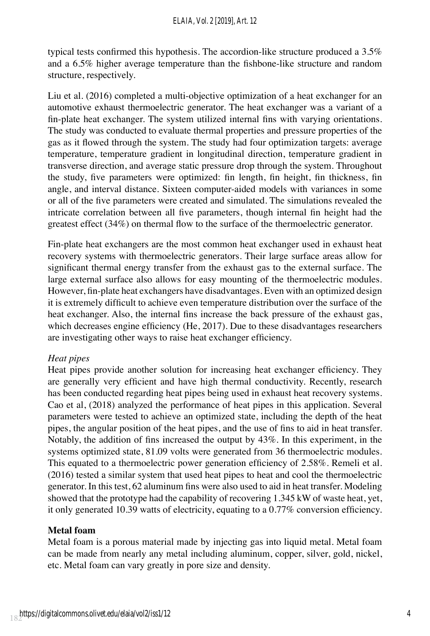typical tests confirmed this hypothesis. The accordion-like structure produced a 3.5% and a 6.5% higher average temperature than the fishbone-like structure and random structure, respectively.

Liu et al. (2016) completed a multi-objective optimization of a heat exchanger for an automotive exhaust thermoelectric generator. The heat exchanger was a variant of a fin-plate heat exchanger. The system utilized internal fins with varying orientations. The study was conducted to evaluate thermal properties and pressure properties of the gas as it flowed through the system. The study had four optimization targets: average temperature, temperature gradient in longitudinal direction, temperature gradient in transverse direction, and average static pressure drop through the system. Throughout the study, five parameters were optimized: fin length, fin height, fin thickness, fin angle, and interval distance. Sixteen computer-aided models with variances in some or all of the five parameters were created and simulated. The simulations revealed the intricate correlation between all five parameters, though internal fin height had the greatest effect (34%) on thermal flow to the surface of the thermoelectric generator.

Fin-plate heat exchangers are the most common heat exchanger used in exhaust heat recovery systems with thermoelectric generators. Their large surface areas allow for significant thermal energy transfer from the exhaust gas to the external surface. The large external surface also allows for easy mounting of the thermoelectric modules. However, fin-plate heat exchangers have disadvantages. Even with an optimized design it is extremely difficult to achieve even temperature distribution over the surface of the heat exchanger. Also, the internal fins increase the back pressure of the exhaust gas, which decreases engine efficiency (He, 2017). Due to these disadvantages researchers are investigating other ways to raise heat exchanger efficiency.

### *Heat pipes*

Heat pipes provide another solution for increasing heat exchanger efficiency. They are generally very efficient and have high thermal conductivity. Recently, research has been conducted regarding heat pipes being used in exhaust heat recovery systems. Cao et al, (2018) analyzed the performance of heat pipes in this application. Several parameters were tested to achieve an optimized state, including the depth of the heat pipes, the angular position of the heat pipes, and the use of fins to aid in heat transfer. Notably, the addition of fins increased the output by 43%. In this experiment, in the systems optimized state, 81.09 volts were generated from 36 thermoelectric modules. This equated to a thermoelectric power generation efficiency of 2.58%. Remeli et al. (2016) tested a similar system that used heat pipes to heat and cool the thermoelectric generator. In this test, 62 aluminum fins were also used to aid in heat transfer. Modeling showed that the prototype had the capability of recovering 1.345 kW of waste heat, yet, it only generated 10.39 watts of electricity, equating to a 0.77% conversion efficiency.

### **Metal foam**

Metal foam is a porous material made by injecting gas into liquid metal. Metal foam can be made from nearly any metal including aluminum, copper, silver, gold, nickel, etc. Metal foam can vary greatly in pore size and density.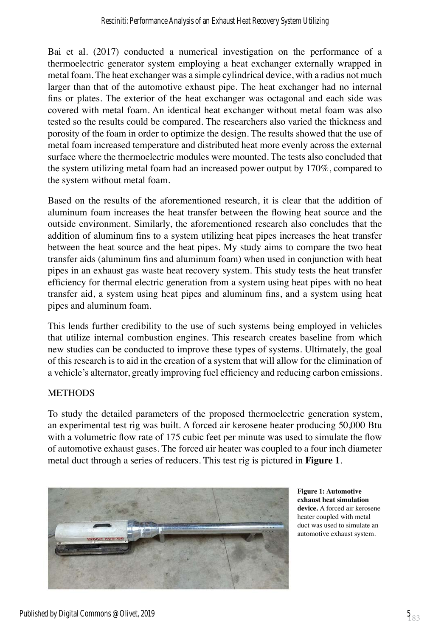Bai et al. (2017) conducted a numerical investigation on the performance of a thermoelectric generator system employing a heat exchanger externally wrapped in metal foam. The heat exchanger was a simple cylindrical device, with a radius not much larger than that of the automotive exhaust pipe. The heat exchanger had no internal fins or plates. The exterior of the heat exchanger was octagonal and each side was covered with metal foam. An identical heat exchanger without metal foam was also tested so the results could be compared. The researchers also varied the thickness and porosity of the foam in order to optimize the design. The results showed that the use of metal foam increased temperature and distributed heat more evenly across the external surface where the thermoelectric modules were mounted. The tests also concluded that the system utilizing metal foam had an increased power output by 170%, compared to the system without metal foam.

Based on the results of the aforementioned research, it is clear that the addition of aluminum foam increases the heat transfer between the flowing heat source and the outside environment. Similarly, the aforementioned research also concludes that the addition of aluminum fins to a system utilizing heat pipes increases the heat transfer between the heat source and the heat pipes. My study aims to compare the two heat transfer aids (aluminum fins and aluminum foam) when used in conjunction with heat pipes in an exhaust gas waste heat recovery system. This study tests the heat transfer efficiency for thermal electric generation from a system using heat pipes with no heat transfer aid, a system using heat pipes and aluminum fins, and a system using heat pipes and aluminum foam.

This lends further credibility to the use of such systems being employed in vehicles that utilize internal combustion engines. This research creates baseline from which new studies can be conducted to improve these types of systems. Ultimately, the goal of this research is to aid in the creation of a system that will allow for the elimination of a vehicle's alternator, greatly improving fuel efficiency and reducing carbon emissions.

### **METHODS**

To study the detailed parameters of the proposed thermoelectric generation system, an experimental test rig was built. A forced air kerosene heater producing 50,000 Btu with a volumetric flow rate of 175 cubic feet per minute was used to simulate the flow of automotive exhaust gases. The forced air heater was coupled to a four inch diameter metal duct through a series of reducers. This test rig is pictured in **Figure 1**.



**Figure 1: Automotive exhaust heat simulation device.** A forced air kerosene heater coupled with metal duct was used to simulate an automotive exhaust system.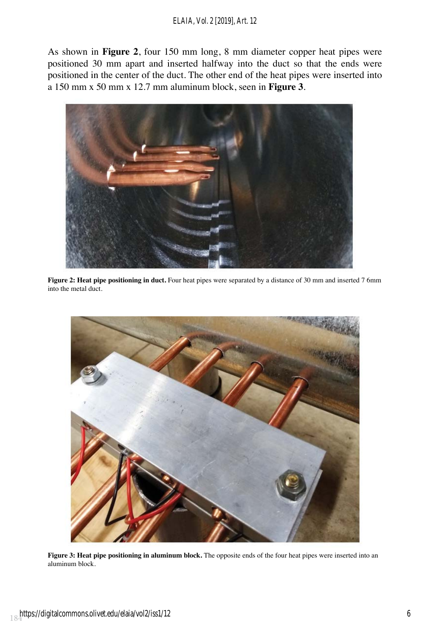#### *ELAIA, Vol. 2 [2019], Art. 12*

As shown in **Figure 2**, four 150 mm long, 8 mm diameter copper heat pipes were positioned 30 mm apart and inserted halfway into the duct so that the ends were positioned in the center of the duct. The other end of the heat pipes were inserted into a 150 mm x 50 mm x 12.7 mm aluminum block, seen in **Figure 3**.



**Figure 2: Heat pipe positioning in duct.** Four heat pipes were separated by a distance of 30 mm and inserted 7 6mm into the metal duct.



**Figure 3: Heat pipe positioning in aluminum block.** The opposite ends of the four heat pipes were inserted into an aluminum block.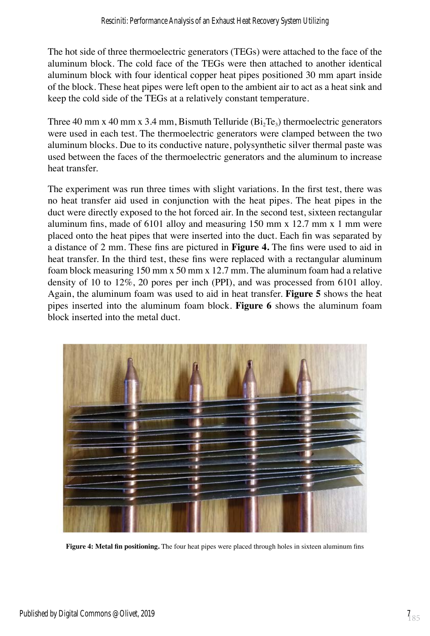The hot side of three thermoelectric generators (TEGs) were attached to the face of the aluminum block. The cold face of the TEGs were then attached to another identical aluminum block with four identical copper heat pipes positioned 30 mm apart inside of the block. These heat pipes were left open to the ambient air to act as a heat sink and keep the cold side of the TEGs at a relatively constant temperature.

Three 40 mm x 40 mm x 3.4 mm, Bismuth Telluride ( $Bi$ ,  $Te_3$ ) thermoelectric generators were used in each test. The thermoelectric generators were clamped between the two aluminum blocks. Due to its conductive nature, polysynthetic silver thermal paste was used between the faces of the thermoelectric generators and the aluminum to increase heat transfer.

The experiment was run three times with slight variations. In the first test, there was no heat transfer aid used in conjunction with the heat pipes. The heat pipes in the duct were directly exposed to the hot forced air. In the second test, sixteen rectangular aluminum fins, made of 6101 alloy and measuring 150 mm x 12.7 mm x 1 mm were placed onto the heat pipes that were inserted into the duct. Each fin was separated by a distance of 2 mm. These fins are pictured in **Figure 4.** The fins were used to aid in heat transfer. In the third test, these fins were replaced with a rectangular aluminum foam block measuring 150 mm x 50 mm x 12.7 mm. The aluminum foam had a relative density of 10 to 12%, 20 pores per inch (PPI), and was processed from 6101 alloy. Again, the aluminum foam was used to aid in heat transfer. **Figure 5** shows the heat pipes inserted into the aluminum foam block. **Figure 6** shows the aluminum foam block inserted into the metal duct.



**Figure 4: Metal fin positioning.** The four heat pipes were placed through holes in sixteen aluminum fins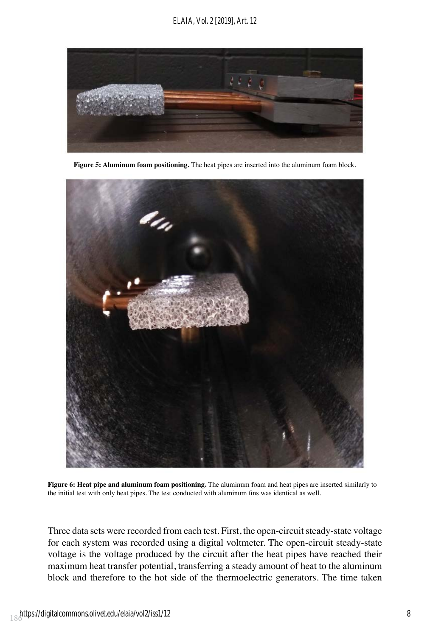

**Figure 5: Aluminum foam positioning.** The heat pipes are inserted into the aluminum foam block.



**Figure 6: Heat pipe and aluminum foam positioning.** The aluminum foam and heat pipes are inserted similarly to the initial test with only heat pipes. The test conducted with aluminum fins was identical as well.

Three data sets were recorded from each test. First, the open-circuit steady-state voltage for each system was recorded using a digital voltmeter. The open-circuit steady-state voltage is the voltage produced by the circuit after the heat pipes have reached their maximum heat transfer potential, transferring a steady amount of heat to the aluminum block and therefore to the hot side of the thermoelectric generators. The time taken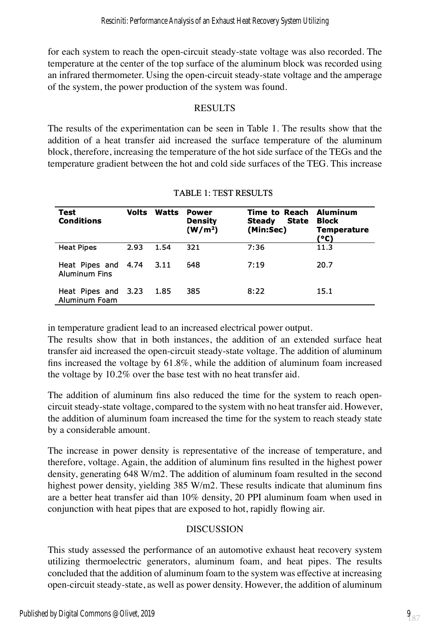for each system to reach the open-circuit steady-state voltage was also recorded. The temperature at the center of the top surface of the aluminum block was recorded using an infrared thermometer. Using the open-circuit steady-state voltage and the amperage of the system, the power production of the system was found.

### RESULTS

The results of the experimentation can be seen in Table 1. The results show that the addition of a heat transfer aid increased the surface temperature of the aluminum block, therefore, increasing the temperature of the hot side surface of the TEGs and the temperature gradient between the hot and cold side surfaces of the TEG. This increase

| Test<br>Conditions                          | Volts | Watts  | Power<br>Density<br>(W/m <sup>2</sup> ) | Time to Reach Aluminum<br>State<br>Steady<br>(Min:Sec) | Block<br><b>Temperature</b><br>(°C) |
|---------------------------------------------|-------|--------|-----------------------------------------|--------------------------------------------------------|-------------------------------------|
| <b>Heat Pipes</b>                           | 2.93  | 1.54   | 321                                     | 7:36                                                   | 11.3                                |
| Heat Pipes and 4.74<br><b>Aluminum Fins</b> |       | 3.11   | 648                                     | 7:19                                                   | 20.7                                |
| Heat Pipes and 3.23<br>Aluminum Foam        |       | - 1.85 | 385                                     | 8:22                                                   | 15.1                                |

## **TABLE 1: TEST RESULTS**

in temperature gradient lead to an increased electrical power output.

The results show that in both instances, the addition of an extended surface heat transfer aid increased the open-circuit steady-state voltage. The addition of aluminum fins increased the voltage by 61.8%, while the addition of aluminum foam increased the voltage by 10.2% over the base test with no heat transfer aid.

The addition of aluminum fins also reduced the time for the system to reach opencircuit steady-state voltage, compared to the system with no heat transfer aid. However, the addition of aluminum foam increased the time for the system to reach steady state by a considerable amount.

The increase in power density is representative of the increase of temperature, and therefore, voltage. Again, the addition of aluminum fins resulted in the highest power density, generating 648 W/m2. The addition of aluminum foam resulted in the second highest power density, yielding 385 W/m2. These results indicate that aluminum fins are a better heat transfer aid than 10% density, 20 PPI aluminum foam when used in conjunction with heat pipes that are exposed to hot, rapidly flowing air.

### DISCUSSION

This study assessed the performance of an automotive exhaust heat recovery system utilizing thermoelectric generators, aluminum foam, and heat pipes. The results concluded that the addition of aluminum foam to the system was effective at increasing open-circuit steady-state, as well as power density. However, the addition of aluminum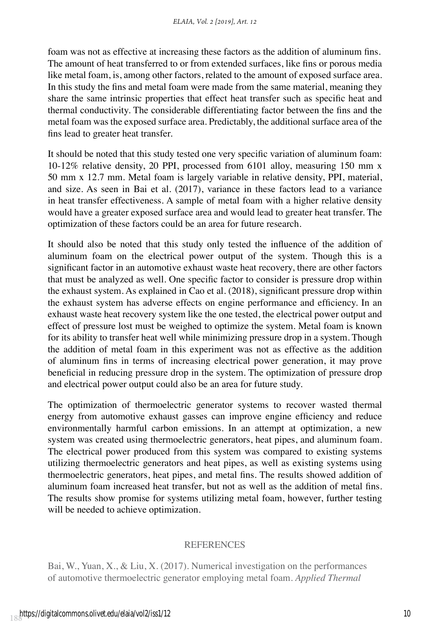foam was not as effective at increasing these factors as the addition of aluminum fins. The amount of heat transferred to or from extended surfaces, like fins or porous media like metal foam, is, among other factors, related to the amount of exposed surface area. In this study the fins and metal foam were made from the same material, meaning they share the same intrinsic properties that effect heat transfer such as specific heat and thermal conductivity. The considerable differentiating factor between the fins and the metal foam was the exposed surface area. Predictably, the additional surface area of the fins lead to greater heat transfer.

It should be noted that this study tested one very specific variation of aluminum foam: 10-12% relative density, 20 PPI, processed from 6101 alloy, measuring 150 mm x 50 mm x 12.7 mm. Metal foam is largely variable in relative density, PPI, material, and size. As seen in Bai et al. (2017), variance in these factors lead to a variance in heat transfer effectiveness. A sample of metal foam with a higher relative density would have a greater exposed surface area and would lead to greater heat transfer. The optimization of these factors could be an area for future research.

It should also be noted that this study only tested the influence of the addition of aluminum foam on the electrical power output of the system. Though this is a significant factor in an automotive exhaust waste heat recovery, there are other factors that must be analyzed as well. One specific factor to consider is pressure drop within the exhaust system. As explained in Cao et al. (2018), significant pressure drop within the exhaust system has adverse effects on engine performance and efficiency. In an exhaust waste heat recovery system like the one tested, the electrical power output and effect of pressure lost must be weighed to optimize the system. Metal foam is known for its ability to transfer heat well while minimizing pressure drop in a system. Though the addition of metal foam in this experiment was not as effective as the addition of aluminum fins in terms of increasing electrical power generation, it may prove beneficial in reducing pressure drop in the system. The optimization of pressure drop and electrical power output could also be an area for future study.

The optimization of thermoelectric generator systems to recover wasted thermal energy from automotive exhaust gasses can improve engine efficiency and reduce environmentally harmful carbon emissions. In an attempt at optimization, a new system was created using thermoelectric generators, heat pipes, and aluminum foam. The electrical power produced from this system was compared to existing systems utilizing thermoelectric generators and heat pipes, as well as existing systems using thermoelectric generators, heat pipes, and metal fins. The results showed addition of aluminum foam increased heat transfer, but not as well as the addition of metal fins. The results show promise for systems utilizing metal foam, however, further testing will be needed to achieve optimization.

#### REFERENCES

Bai, W., Yuan, X., & Liu, X. (2017). Numerical investigation on the performances of automotive thermoelectric generator employing metal foam. *Applied Thermal*